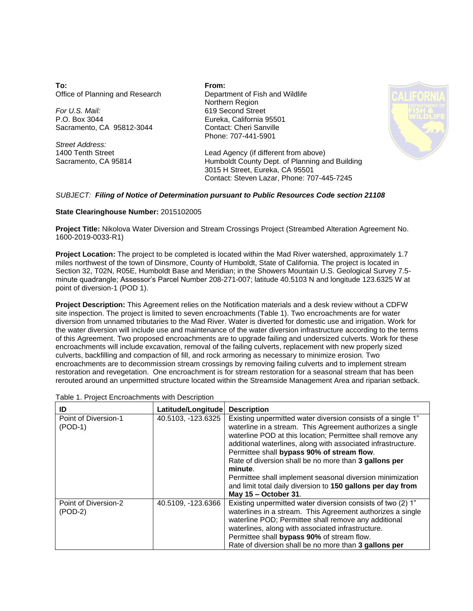**To:** Office of Planning and Research

*For U.S. Mail:* P.O. Box 3044 Sacramento, CA 95812-3044

*Street Address:* 1400 Tenth Street Sacramento, CA 95814 **From:** Department of Fish and Wildlife Northern Region 619 Second Street Eureka, California 95501 Contact: Cheri Sanville Phone: 707-441-5901



Lead Agency (if different from above) Humboldt County Dept. of Planning and Building 3015 H Street, Eureka, CA 95501 Contact: Steven Lazar, Phone: 707-445-7245

## *SUBJECT: Filing of Notice of Determination pursuant to Public Resources Code section 21108*

## **State Clearinghouse Number:** 2015102005

**Project Title:** Nikolova Water Diversion and Stream Crossings Project (Streambed Alteration Agreement No. 1600-2019-0033-R1)

**Project Location:** The project to be completed is located within the Mad River watershed, approximately 1.7 miles northwest of the town of Dinsmore, County of Humboldt, State of California. The project is located in Section 32, T02N, R05E, Humboldt Base and Meridian; in the Showers Mountain U.S. Geological Survey 7.5 minute quadrangle; Assessor's Parcel Number 208-271-007; latitude 40.5103 N and longitude 123.6325 W at point of diversion-1 (POD 1).

**Project Description:** This Agreement relies on the Notification materials and a desk review without a CDFW site inspection. The project is limited to seven encroachments (Table 1). Two encroachments are for water diversion from unnamed tributaries to the Mad River. Water is diverted for domestic use and irrigation. Work for the water diversion will include use and maintenance of the water diversion infrastructure according to the terms of this Agreement. Two proposed encroachments are to upgrade failing and undersized culverts. Work for these encroachments will include excavation, removal of the failing culverts, replacement with new properly sized culverts, backfilling and compaction of fill, and rock armoring as necessary to minimize erosion. Two encroachments are to decommission stream crossings by removing failing culverts and to implement stream restoration and revegetation. One encroachment is for stream restoration for a seasonal stream that has been rerouted around an unpermitted structure located within the Streamside Management Area and riparian setback.

| Table 1. Project Encroachments with Description |
|-------------------------------------------------|
|-------------------------------------------------|

| ID                                | Latitude/Longitude | <b>Description</b>                                                                                                                                                                                                                                                                                                                                                                                                                                                                                                            |
|-----------------------------------|--------------------|-------------------------------------------------------------------------------------------------------------------------------------------------------------------------------------------------------------------------------------------------------------------------------------------------------------------------------------------------------------------------------------------------------------------------------------------------------------------------------------------------------------------------------|
| Point of Diversion-1<br>$(POD-1)$ | 40.5103, -123.6325 | Existing unpermitted water diversion consists of a single 1"<br>waterline in a stream. This Agreement authorizes a single<br>waterline POD at this location; Permittee shall remove any<br>additional waterlines, along with associated infrastructure.<br>Permittee shall bypass 90% of stream flow.<br>Rate of diversion shall be no more than 3 gallons per<br>minute.<br>Permittee shall implement seasonal diversion minimization<br>and limit total daily diversion to 150 gallons per day from<br>May 15 - October 31. |
| Point of Diversion-2<br>$(POD-2)$ | 40.5109, -123.6366 | Existing unpermitted water diversion consists of two (2) 1"<br>waterlines in a stream. This Agreement authorizes a single<br>waterline POD; Permittee shall remove any additional<br>waterlines, along with associated infrastructure.<br>Permittee shall bypass 90% of stream flow.<br>Rate of diversion shall be no more than 3 gallons per                                                                                                                                                                                 |